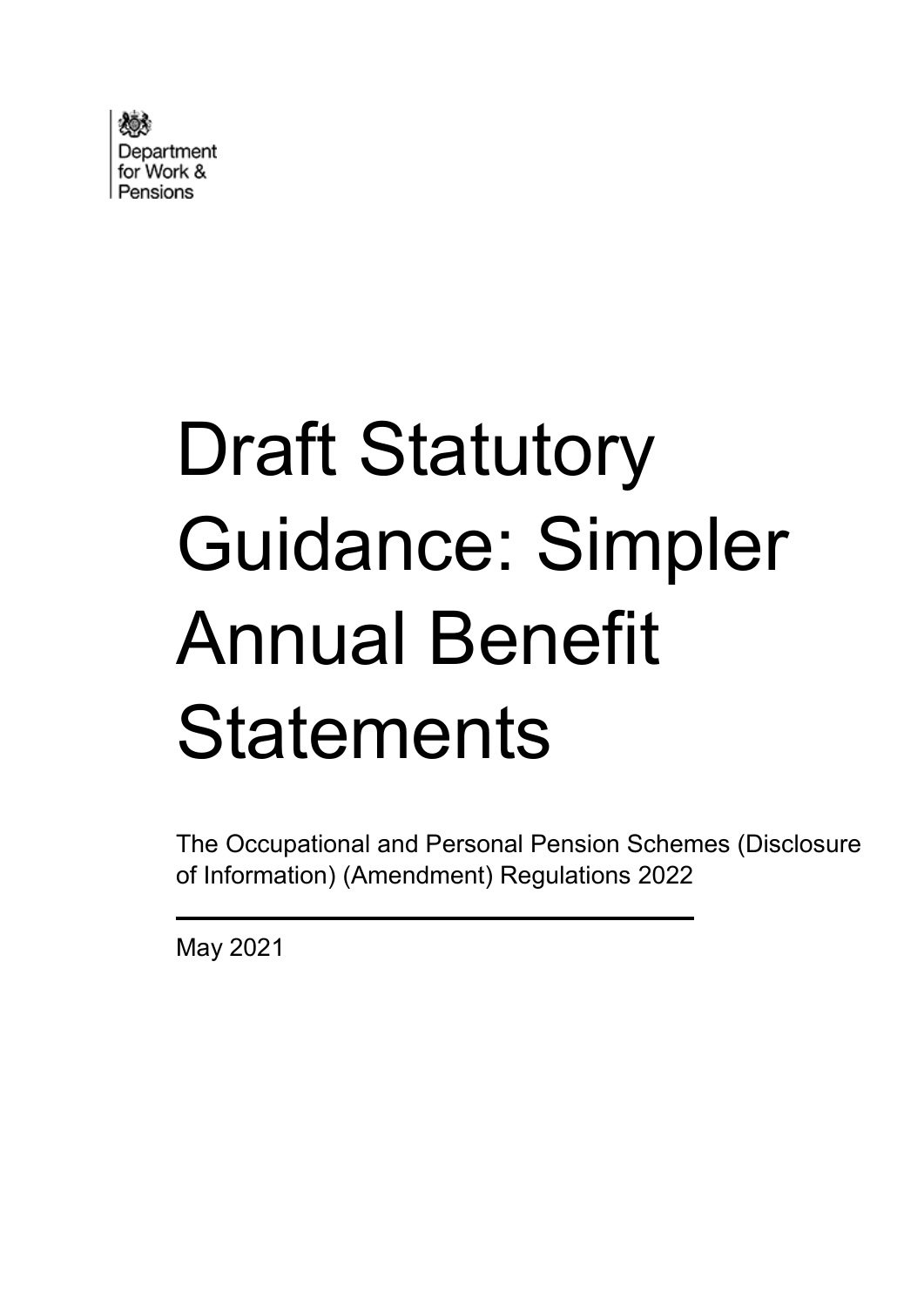

# Draft Statutory Guidance: Simpler Annual Benefit **Statements**

The Occupational and Personal Pension Schemes (Disclosure of Information) (Amendment) Regulations 2022

May 2021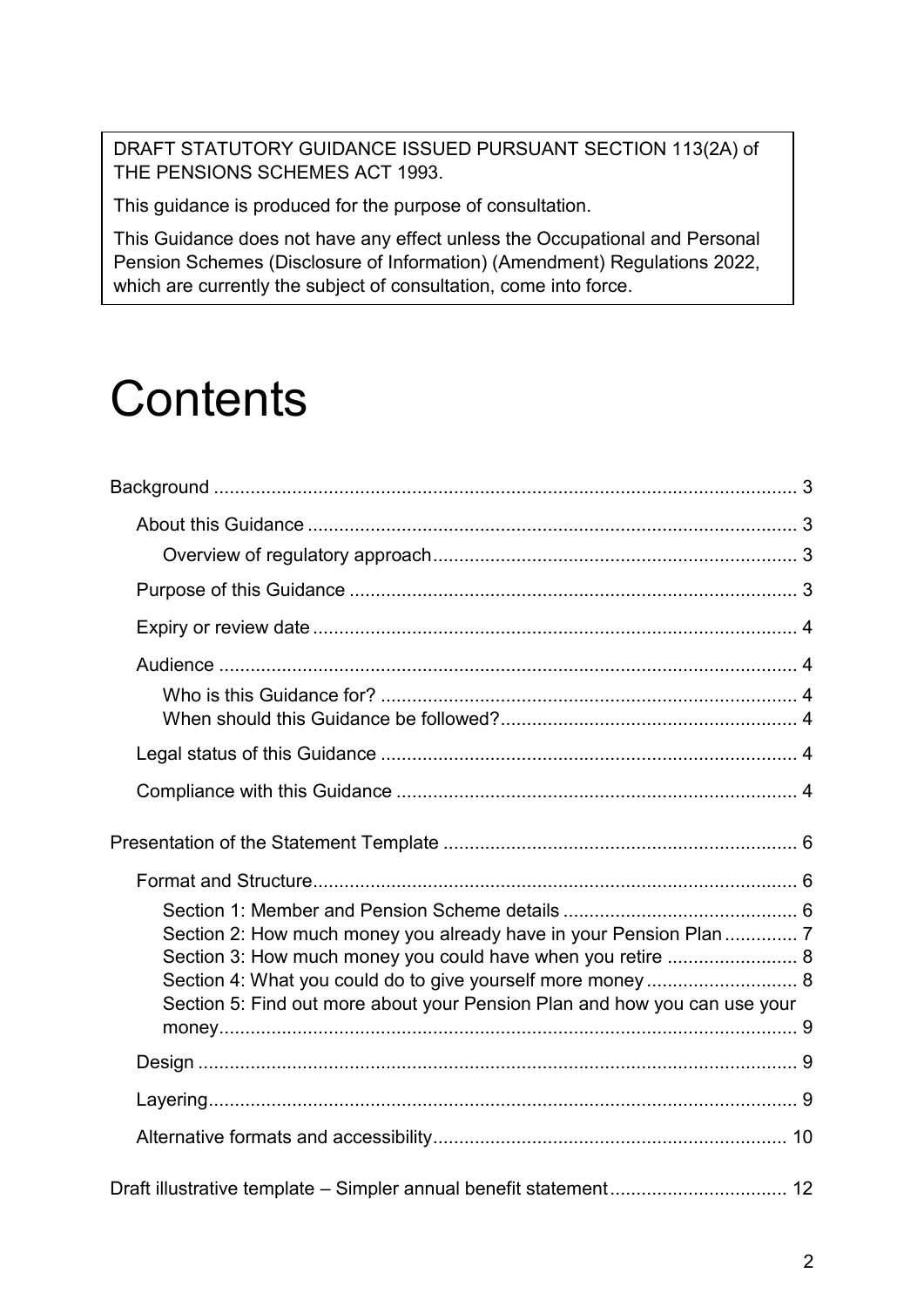DRAFT STATUTORY GUIDANCE ISSUED PURSUANT SECTION 113(2A) of THE PENSIONS SCHEMES ACT 1993.

This guidance is produced for the purpose of consultation.

This Guidance does not have any effect unless the Occupational and Personal Pension Schemes (Disclosure of Information) (Amendment) Regulations 2022, which are currently the subject of consultation, come into force.

## **Contents**

| Section 2: How much money you already have in your Pension Plan  7<br>Section 3: How much money you could have when you retire  8<br>Section 4: What you could do to give yourself more money 8<br>Section 5: Find out more about your Pension Plan and how you can use your |
|------------------------------------------------------------------------------------------------------------------------------------------------------------------------------------------------------------------------------------------------------------------------------|
|                                                                                                                                                                                                                                                                              |
|                                                                                                                                                                                                                                                                              |
|                                                                                                                                                                                                                                                                              |
|                                                                                                                                                                                                                                                                              |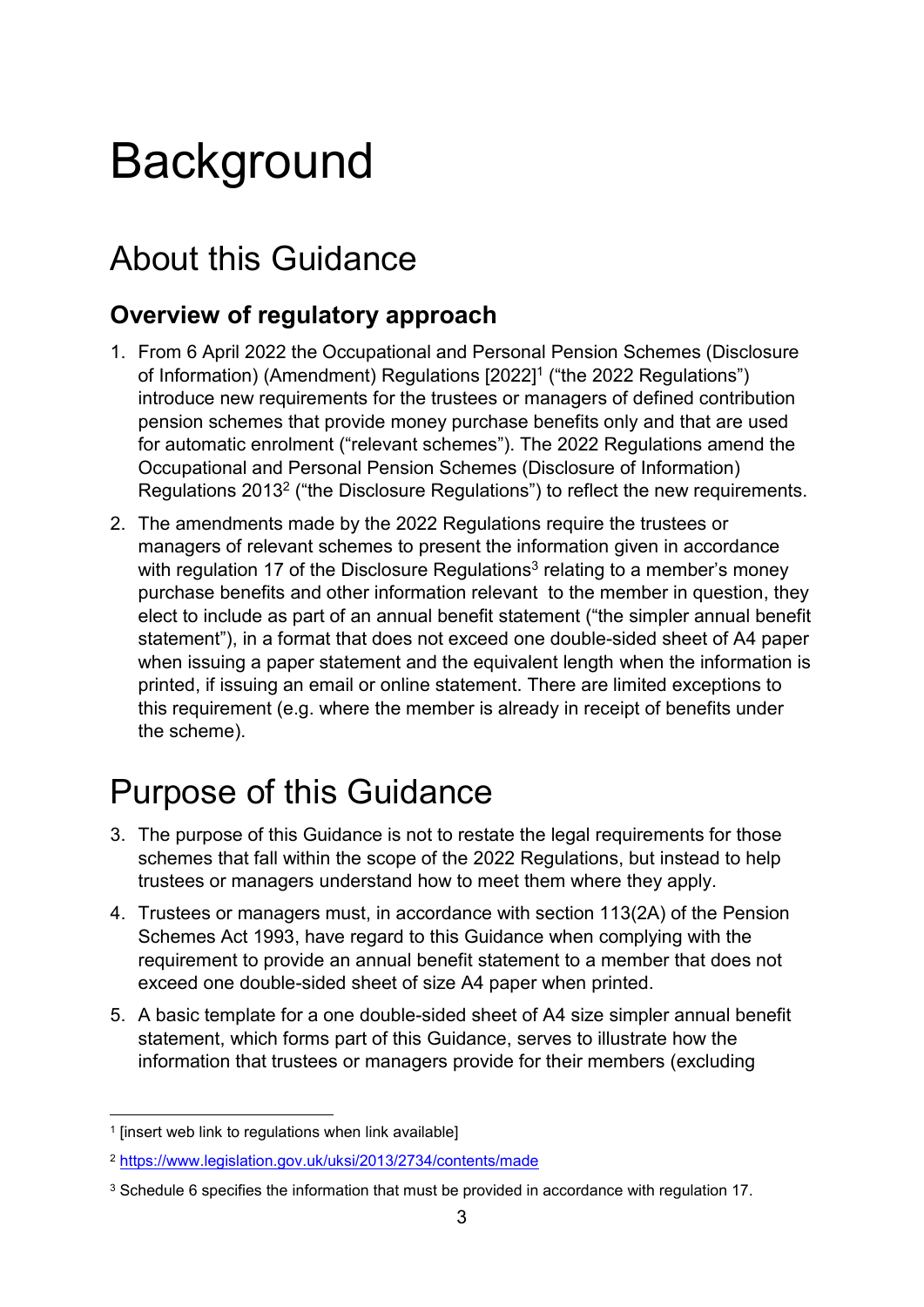## <span id="page-2-0"></span>**Background**

## <span id="page-2-1"></span>About this Guidance

#### <span id="page-2-2"></span>**Overview of regulatory approach**

- 1. From 6 April 2022 the Occupational and Personal Pension Schemes (Disclosure of Information) (Amendment) Regulations [2022] 1 ("the 2022 Regulations") introduce new requirements for the trustees or managers of defined contribution pension schemes that provide money purchase benefits only and that are used for automatic enrolment ("relevant schemes"). The 2022 Regulations amend the Occupational and Personal Pension Schemes (Disclosure of Information) Regulations 2013 $^2$  ("the Disclosure Regulations") to reflect the new requirements.
- 2. The amendments made by the 2022 Regulations require the trustees or managers of relevant schemes to present the information given in accordance with regulation 17 of the Disclosure Regulations $^3$  relating to a member's money purchase benefits and other information relevant to the member in question, they elect to include as part of an annual benefit statement ("the simpler annual benefit statement"), in a format that does not exceed one double-sided sheet of A4 paper when issuing a paper statement and the equivalent length when the information is printed, if issuing an email or online statement. There are limited exceptions to this requirement (e.g. where the member is already in receipt of benefits under the scheme).

## <span id="page-2-3"></span>Purpose of this Guidance

- 3. The purpose of this Guidance is not to restate the legal requirements for those schemes that fall within the scope of the 2022 Regulations, but instead to help trustees or managers understand how to meet them where they apply.
- 4. Trustees or managers must, in accordance with section 113(2A) of the Pension Schemes Act 1993, have regard to this Guidance when complying with the requirement to provide an annual benefit statement to a member that does not exceed one double-sided sheet of size A4 paper when printed.
- 5. A basic template for a one double-sided sheet of A4 size simpler annual benefit statement, which forms part of this Guidance, serves to illustrate how the information that trustees or managers provide for their members (excluding

 $\overline{a}$  $^{\rm 1}$  [insert web link to regulations when link available]

<sup>2</sup> <https://www.legislation.gov.uk/uksi/2013/2734/contents/made>

<sup>&</sup>lt;sup>3</sup> Schedule 6 specifies the information that must be provided in accordance with regulation 17.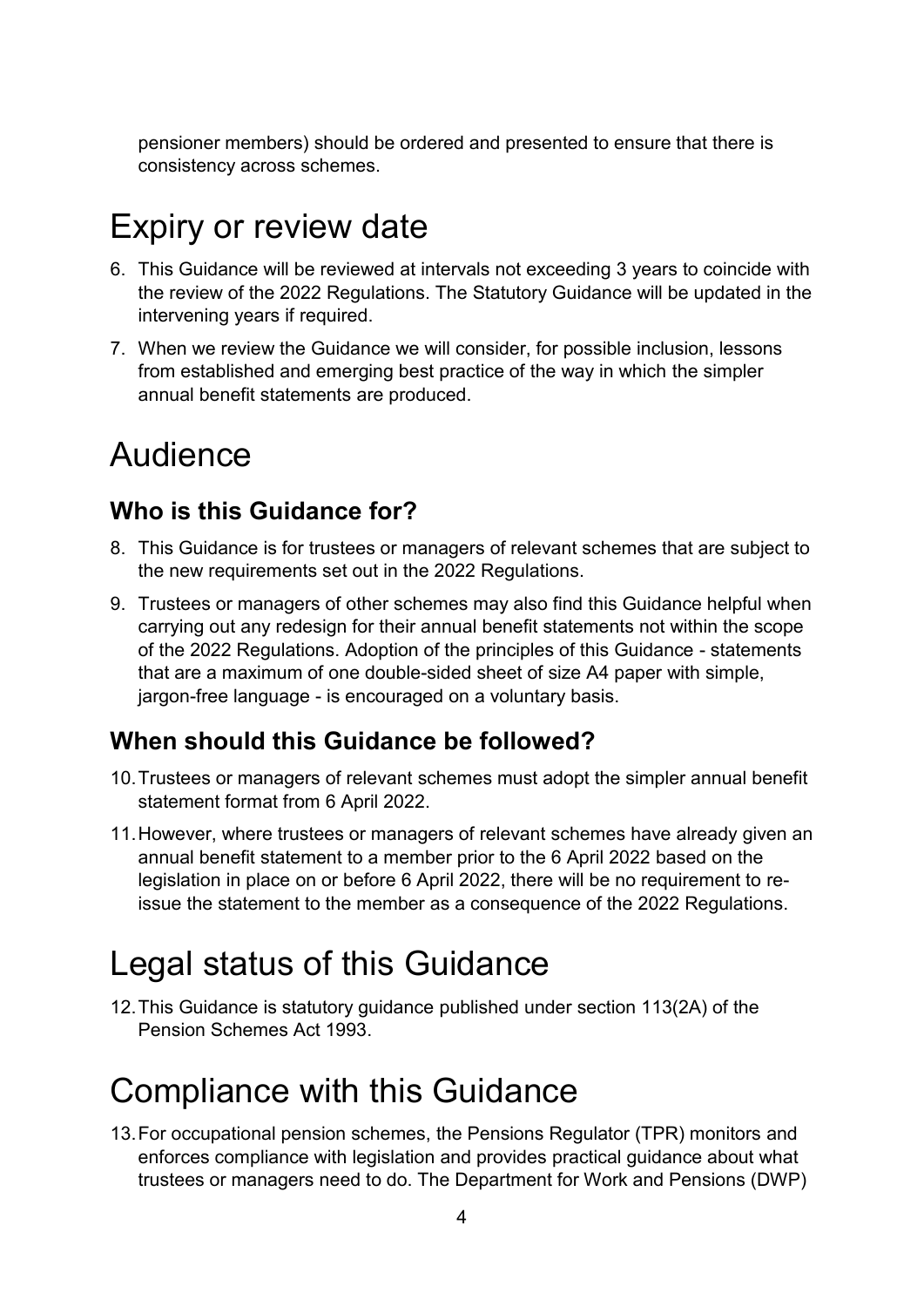pensioner members) should be ordered and presented to ensure that there is consistency across schemes.

## <span id="page-3-0"></span>Expiry or review date

- 6. This Guidance will be reviewed at intervals not exceeding 3 years to coincide with the review of the 2022 Regulations. The Statutory Guidance will be updated in the intervening years if required.
- 7. When we review the Guidance we will consider, for possible inclusion, lessons from established and emerging best practice of the way in which the simpler annual benefit statements are produced.

### <span id="page-3-1"></span>Audience

#### <span id="page-3-2"></span>**Who is this Guidance for?**

- 8. This Guidance is for trustees or managers of relevant schemes that are subject to the new requirements set out in the 2022 Regulations.
- 9. Trustees or managers of other schemes may also find this Guidance helpful when carrying out any redesign for their annual benefit statements not within the scope of the 2022 Regulations. Adoption of the principles of this Guidance - statements that are a maximum of one double-sided sheet of size A4 paper with simple, jargon-free language - is encouraged on a voluntary basis.

#### <span id="page-3-3"></span>**When should this Guidance be followed?**

- 10.Trustees or managers of relevant schemes must adopt the simpler annual benefit statement format from 6 April 2022.
- 11.However, where trustees or managers of relevant schemes have already given an annual benefit statement to a member prior to the 6 April 2022 based on the legislation in place on or before 6 April 2022, there will be no requirement to reissue the statement to the member as a consequence of the 2022 Regulations.

### <span id="page-3-4"></span>Legal status of this Guidance

12.This Guidance is statutory guidance published under section 113(2A) of the Pension Schemes Act 1993.

## <span id="page-3-5"></span>Compliance with this Guidance

13.For occupational pension schemes, the Pensions Regulator (TPR) monitors and enforces compliance with legislation and provides practical guidance about what trustees or managers need to do. The Department for Work and Pensions (DWP)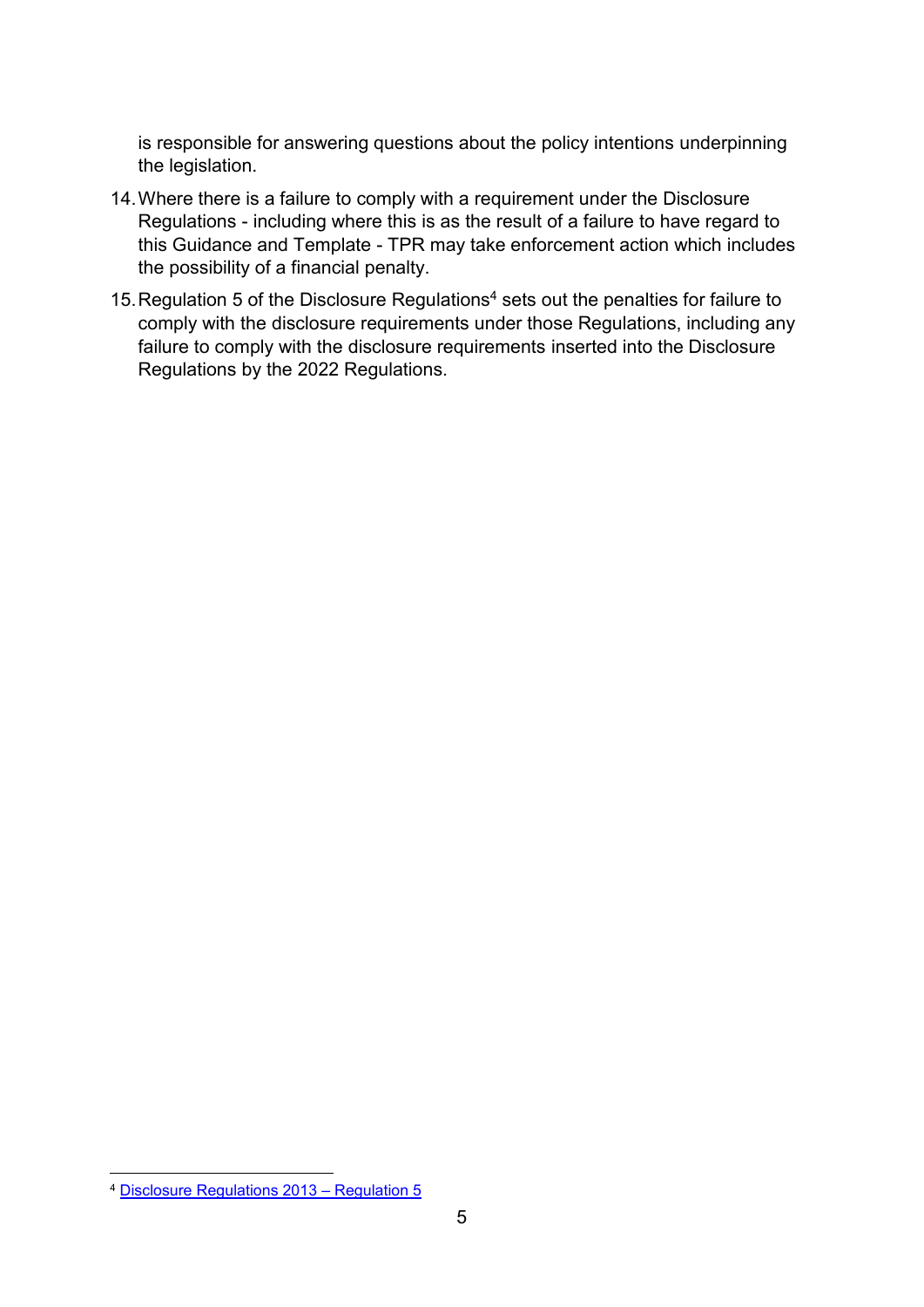is responsible for answering questions about the policy intentions underpinning the legislation.

- 14.Where there is a failure to comply with a requirement under the Disclosure Regulations - including where this is as the result of a failure to have regard to this Guidance and Template - TPR may take enforcement action which includes the possibility of a financial penalty.
- 15. Regulation 5 of the Disclosure Regulations<sup>4</sup> sets out the penalties for failure to comply with the disclosure requirements under those Regulations, including any failure to comply with the disclosure requirements inserted into the Disclosure Regulations by the 2022 Regulations.

 $\overline{a}$ <sup>4</sup> [Disclosure Regulations 2013 –](https://www.legislation.gov.uk/uksi/2013/2734/regulation/5) Regulation 5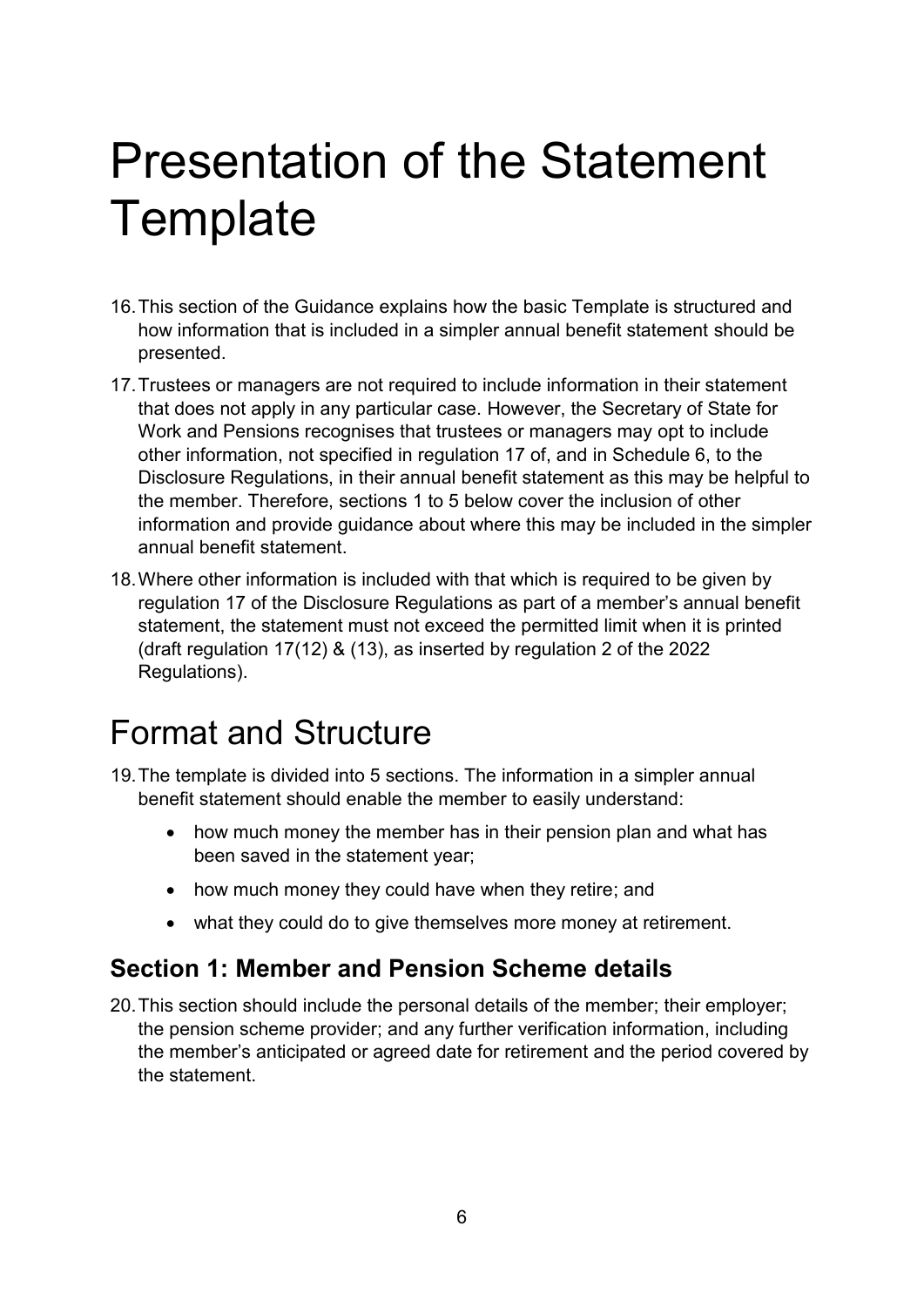## <span id="page-5-0"></span>Presentation of the Statement **Template**

- 16.This section of the Guidance explains how the basic Template is structured and how information that is included in a simpler annual benefit statement should be presented.
- 17.Trustees or managers are not required to include information in their statement that does not apply in any particular case. However, the Secretary of State for Work and Pensions recognises that trustees or managers may opt to include other information, not specified in regulation 17 of, and in Schedule 6, to the Disclosure Regulations, in their annual benefit statement as this may be helpful to the member. Therefore, sections 1 to 5 below cover the inclusion of other information and provide guidance about where this may be included in the simpler annual benefit statement.
- 18.Where other information is included with that which is required to be given by regulation 17 of the Disclosure Regulations as part of a member's annual benefit statement, the statement must not exceed the permitted limit when it is printed (draft regulation 17(12) & (13), as inserted by regulation 2 of the 2022 Regulations).

### <span id="page-5-1"></span>Format and Structure

- 19.The template is divided into 5 sections. The information in a simpler annual benefit statement should enable the member to easily understand:
	- how much money the member has in their pension plan and what has been saved in the statement year;
	- how much money they could have when they retire; and
	- what they could do to give themselves more money at retirement.

#### <span id="page-5-2"></span>**Section 1: Member and Pension Scheme details**

20.This section should include the personal details of the member; their employer; the pension scheme provider; and any further verification information, including the member's anticipated or agreed date for retirement and the period covered by the statement.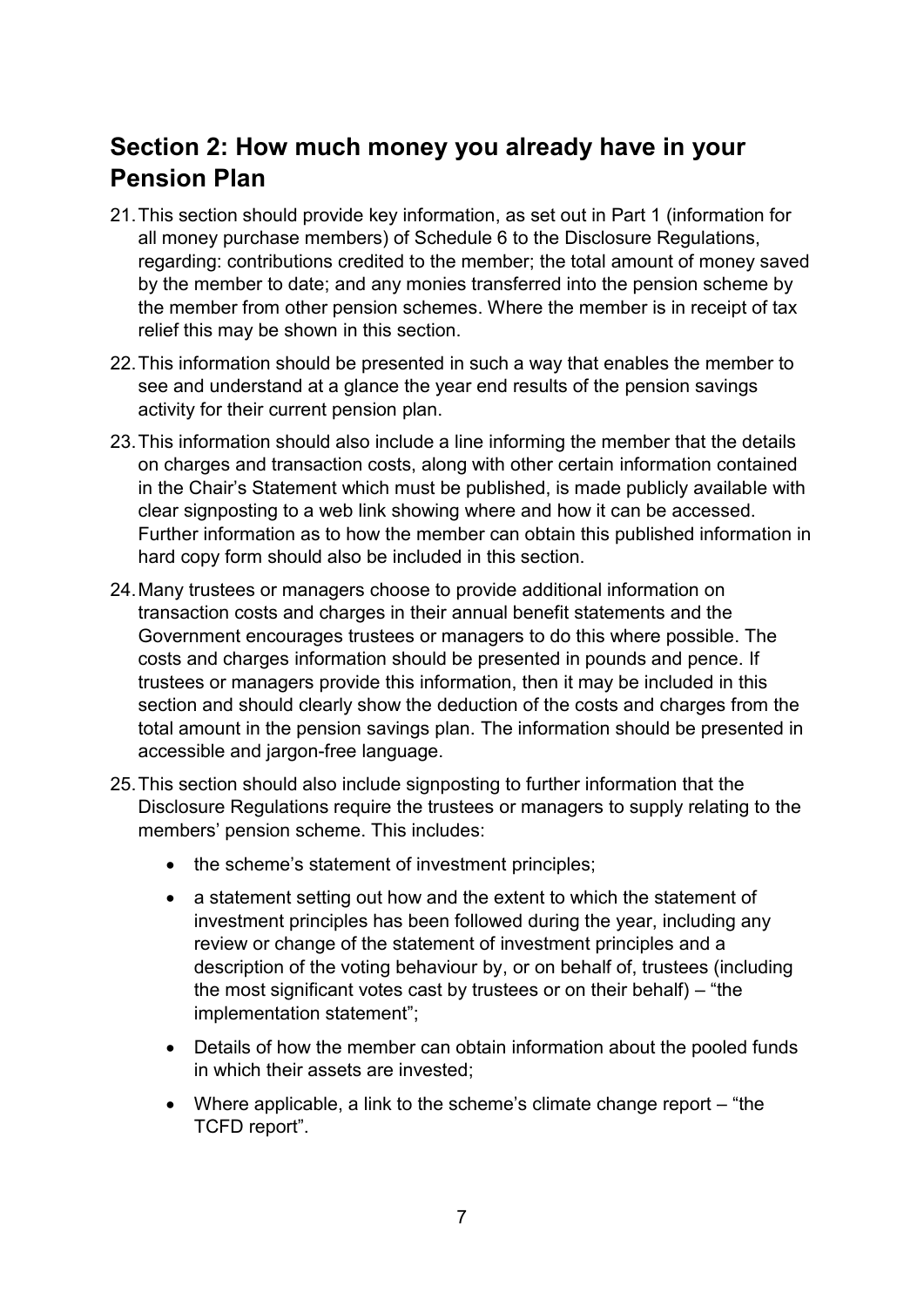#### <span id="page-6-0"></span>**Section 2: How much money you already have in your Pension Plan**

- 21.This section should provide key information, as set out in Part 1 (information for all money purchase members) of Schedule 6 to the Disclosure Regulations, regarding: contributions credited to the member; the total amount of money saved by the member to date; and any monies transferred into the pension scheme by the member from other pension schemes. Where the member is in receipt of tax relief this may be shown in this section.
- 22.This information should be presented in such a way that enables the member to see and understand at a glance the year end results of the pension savings activity for their current pension plan.
- 23.This information should also include a line informing the member that the details on charges and transaction costs, along with other certain information contained in the Chair's Statement which must be published, is made publicly available with clear signposting to a web link showing where and how it can be accessed. Further information as to how the member can obtain this published information in hard copy form should also be included in this section.
- 24.Many trustees or managers choose to provide additional information on transaction costs and charges in their annual benefit statements and the Government encourages trustees or managers to do this where possible. The costs and charges information should be presented in pounds and pence. If trustees or managers provide this information, then it may be included in this section and should clearly show the deduction of the costs and charges from the total amount in the pension savings plan. The information should be presented in accessible and jargon-free language.
- 25.This section should also include signposting to further information that the Disclosure Regulations require the trustees or managers to supply relating to the members' pension scheme. This includes:
	- the scheme's statement of investment principles;
	- a statement setting out how and the extent to which the statement of investment principles has been followed during the year, including any review or change of the statement of investment principles and a description of the voting behaviour by, or on behalf of, trustees (including the most significant votes cast by trustees or on their behalf) – "the implementation statement";
	- Details of how the member can obtain information about the pooled funds in which their assets are invested;
	- Where applicable, a link to the scheme's climate change report "the TCFD report".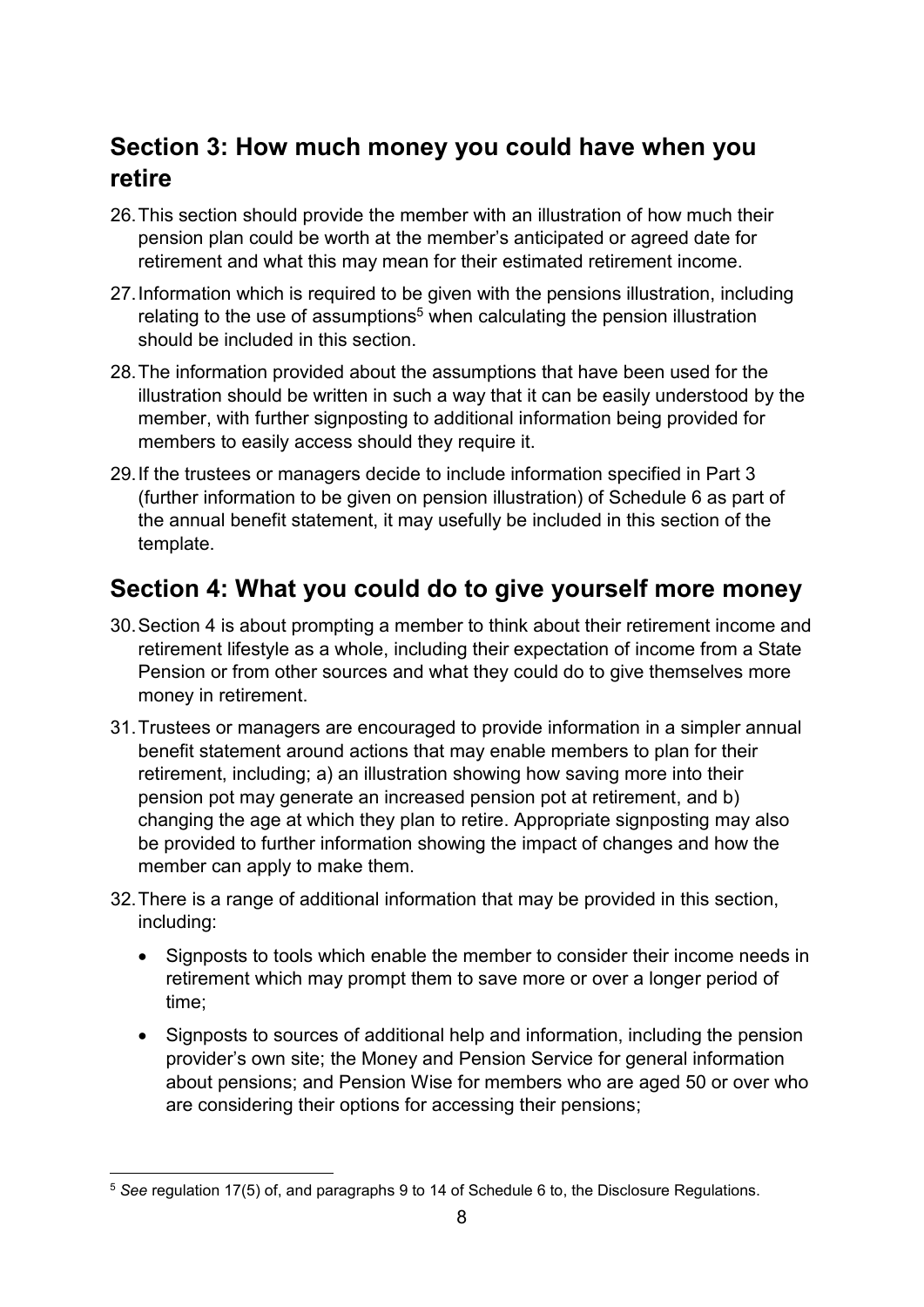#### <span id="page-7-0"></span>**Section 3: How much money you could have when you retire**

- 26.This section should provide the member with an illustration of how much their pension plan could be worth at the member's anticipated or agreed date for retirement and what this may mean for their estimated retirement income.
- 27.Information which is required to be given with the pensions illustration, including relating to the use of assumptions<sup>5</sup> when calculating the pension illustration should be included in this section.
- 28.The information provided about the assumptions that have been used for the illustration should be written in such a way that it can be easily understood by the member, with further signposting to additional information being provided for members to easily access should they require it.
- 29.If the trustees or managers decide to include information specified in Part 3 (further information to be given on pension illustration) of Schedule 6 as part of the annual benefit statement, it may usefully be included in this section of the template.

#### <span id="page-7-1"></span>**Section 4: What you could do to give yourself more money**

- 30.Section 4 is about prompting a member to think about their retirement income and retirement lifestyle as a whole, including their expectation of income from a State Pension or from other sources and what they could do to give themselves more money in retirement.
- 31.Trustees or managers are encouraged to provide information in a simpler annual benefit statement around actions that may enable members to plan for their retirement, including; a) an illustration showing how saving more into their pension pot may generate an increased pension pot at retirement, and b) changing the age at which they plan to retire. Appropriate signposting may also be provided to further information showing the impact of changes and how the member can apply to make them.
- 32.There is a range of additional information that may be provided in this section, including:
	- Signposts to tools which enable the member to consider their income needs in retirement which may prompt them to save more or over a longer period of time;
	- Signposts to sources of additional help and information, including the pension provider's own site; the Money and Pension Service for general information about pensions; and Pension Wise for members who are aged 50 or over who are considering their options for accessing their pensions;

 $\overline{a}$ <sup>5</sup> *See* regulation 17(5) of, and paragraphs 9 to 14 of Schedule 6 to, the Disclosure Regulations.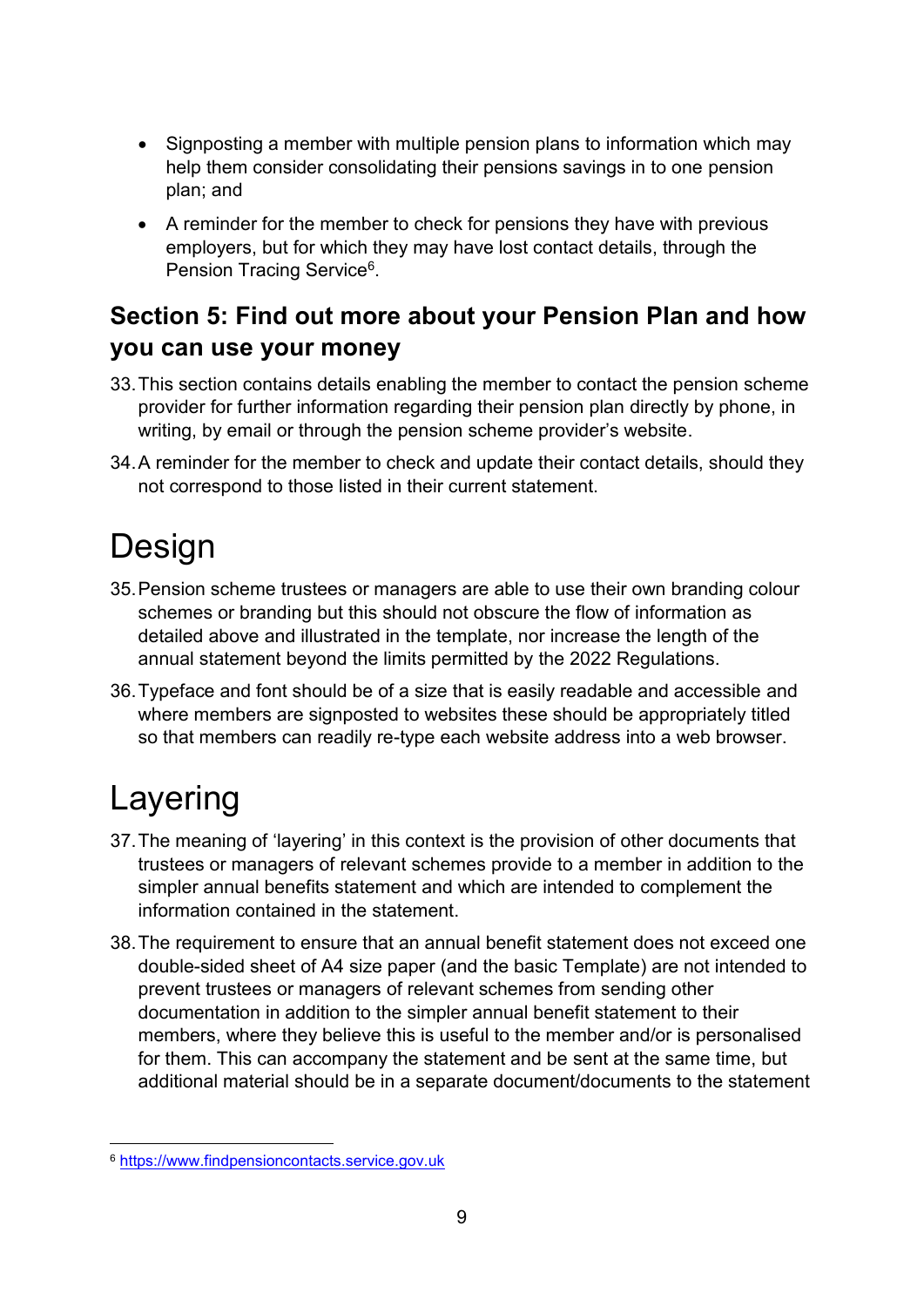- Signposting a member with multiple pension plans to information which may help them consider consolidating their pensions savings in to one pension plan; and
- A reminder for the member to check for pensions they have with previous employers, but for which they may have lost contact details, through the Pension Tracing Service<sup>6</sup>.

#### <span id="page-8-0"></span>**Section 5: Find out more about your Pension Plan and how you can use your money**

- 33.This section contains details enabling the member to contact the pension scheme provider for further information regarding their pension plan directly by phone, in writing, by email or through the pension scheme provider's website.
- 34.A reminder for the member to check and update their contact details, should they not correspond to those listed in their current statement.

## <span id="page-8-1"></span>Design

- 35.Pension scheme trustees or managers are able to use their own branding colour schemes or branding but this should not obscure the flow of information as detailed above and illustrated in the template, nor increase the length of the annual statement beyond the limits permitted by the 2022 Regulations.
- 36.Typeface and font should be of a size that is easily readable and accessible and where members are signposted to websites these should be appropriately titled so that members can readily re-type each website address into a web browser.

## <span id="page-8-2"></span>Layering

- 37.The meaning of 'layering' in this context is the provision of other documents that trustees or managers of relevant schemes provide to a member in addition to the simpler annual benefits statement and which are intended to complement the information contained in the statement.
- 38.The requirement to ensure that an annual benefit statement does not exceed one double-sided sheet of A4 size paper (and the basic Template) are not intended to prevent trustees or managers of relevant schemes from sending other documentation in addition to the simpler annual benefit statement to their members, where they believe this is useful to the member and/or is personalised for them. This can accompany the statement and be sent at the same time, but additional material should be in a separate document/documents to the statement

 $\overline{a}$ <sup>6</sup> [https://www.findpensioncontacts.service.gov.uk](https://www.findpensioncontacts.service.gov.uk/)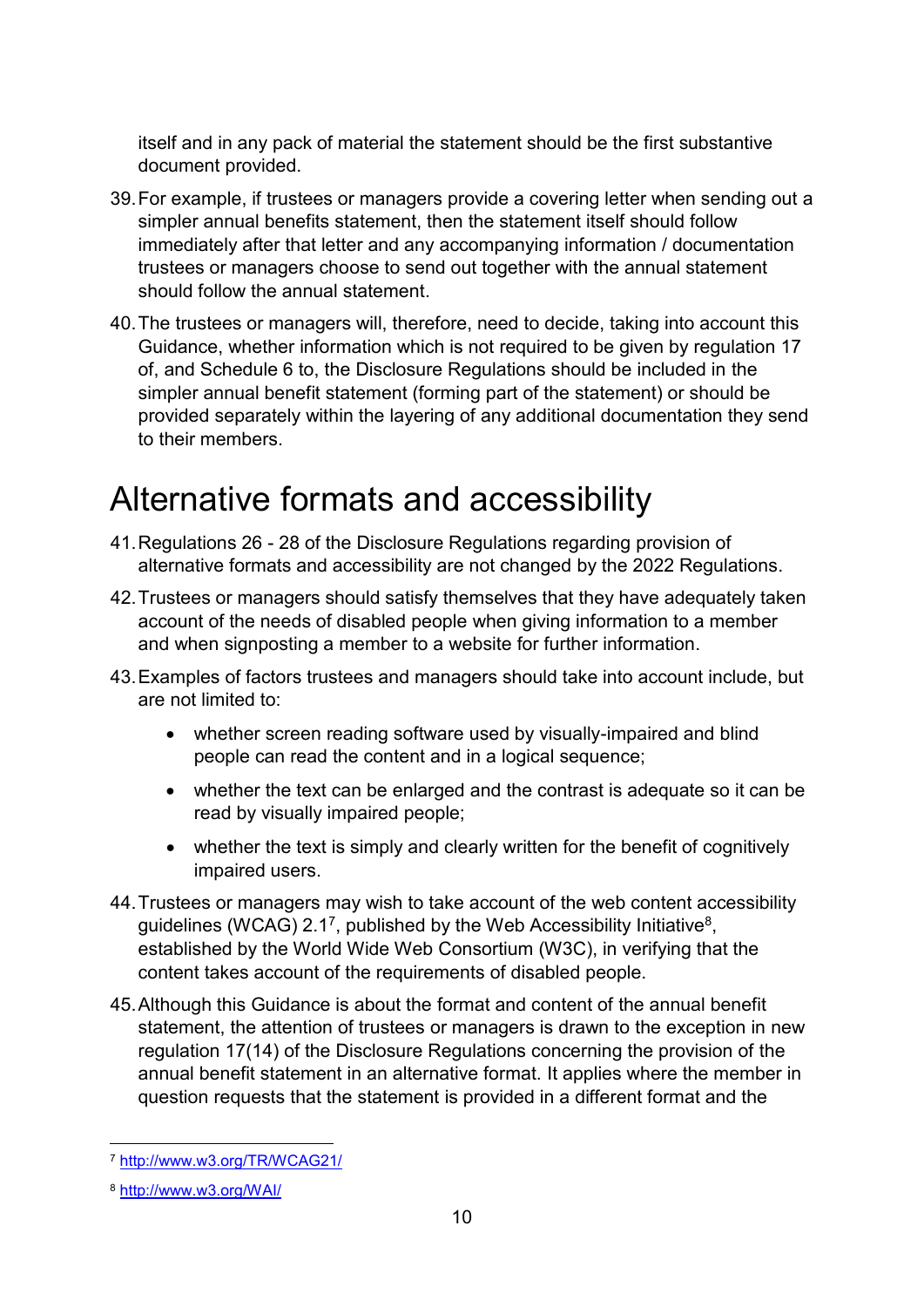itself and in any pack of material the statement should be the first substantive document provided.

- 39.For example, if trustees or managers provide a covering letter when sending out a simpler annual benefits statement, then the statement itself should follow immediately after that letter and any accompanying information / documentation trustees or managers choose to send out together with the annual statement should follow the annual statement.
- 40.The trustees or managers will, therefore, need to decide, taking into account this Guidance, whether information which is not required to be given by regulation 17 of, and Schedule 6 to, the Disclosure Regulations should be included in the simpler annual benefit statement (forming part of the statement) or should be provided separately within the layering of any additional documentation they send to their members.

### <span id="page-9-0"></span>Alternative formats and accessibility

- 41.Regulations 26 28 of the Disclosure Regulations regarding provision of alternative formats and accessibility are not changed by the 2022 Regulations.
- 42.Trustees or managers should satisfy themselves that they have adequately taken account of the needs of disabled people when giving information to a member and when signposting a member to a website for further information.
- 43.Examples of factors trustees and managers should take into account include, but are not limited to:
	- whether screen reading software used by visually-impaired and blind people can read the content and in a logical sequence;
	- whether the text can be enlarged and the contrast is adequate so it can be read by visually impaired people;
	- whether the text is simply and clearly written for the benefit of cognitively impaired users.
- 44.Trustees or managers may wish to take account of the web content accessibility guidelines (WCAG) 2.1<sup>7</sup>, published by the Web Accessibility Initiative<sup>8</sup>, established by the World Wide Web Consortium (W3C), in verifying that the content takes account of the requirements of disabled people.
- 45.Although this Guidance is about the format and content of the annual benefit statement, the attention of trustees or managers is drawn to the exception in new regulation 17(14) of the Disclosure Regulations concerning the provision of the annual benefit statement in an alternative format. It applies where the member in question requests that the statement is provided in a different format and the

 $\overline{a}$ <sup>7</sup> <http://www.w3.org/TR/WCAG21/>

<sup>8</sup> <http://www.w3.org/WAI/>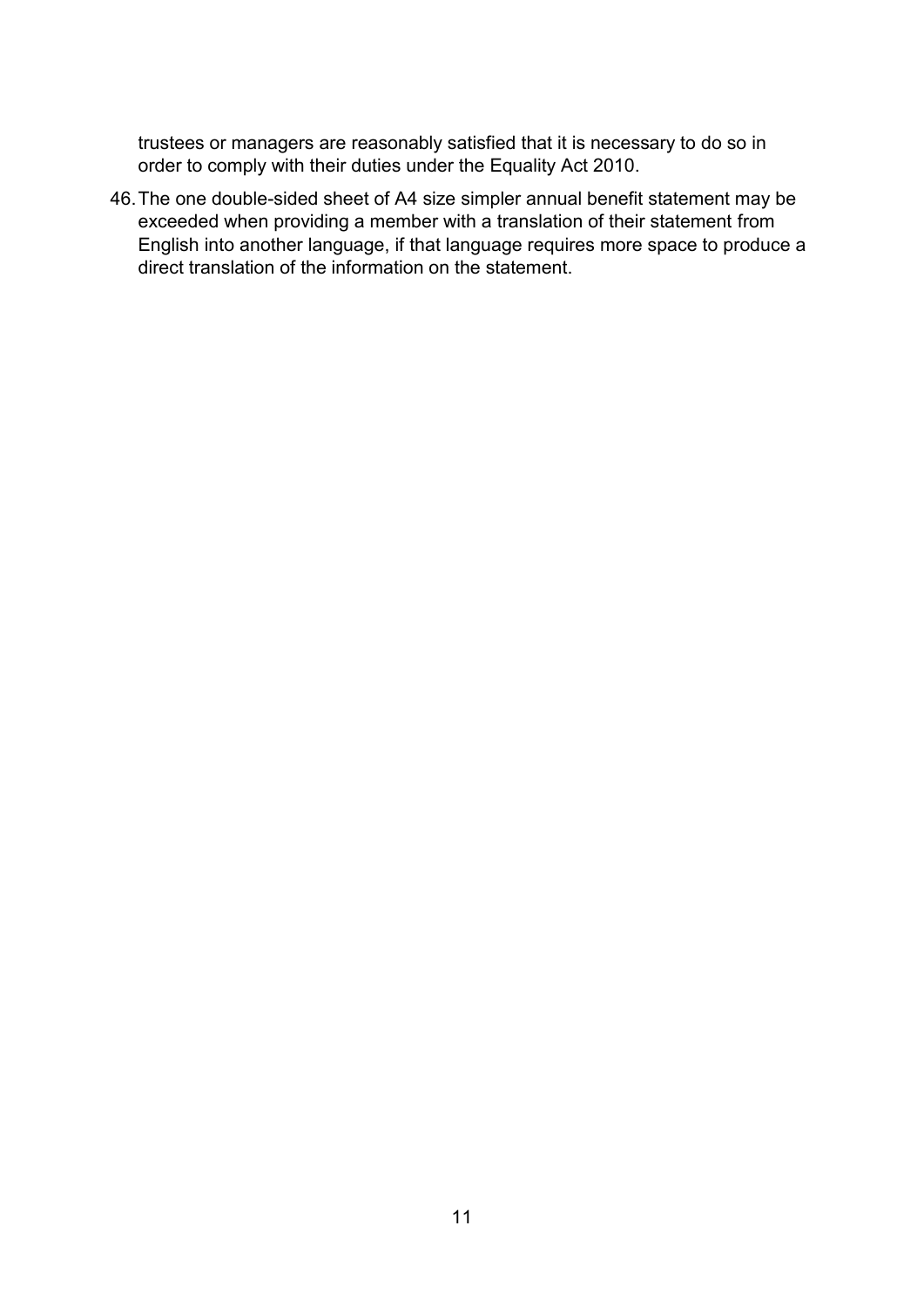trustees or managers are reasonably satisfied that it is necessary to do so in order to comply with their duties under the Equality Act 2010.

46.The one double-sided sheet of A4 size simpler annual benefit statement may be exceeded when providing a member with a translation of their statement from English into another language, if that language requires more space to produce a direct translation of the information on the statement.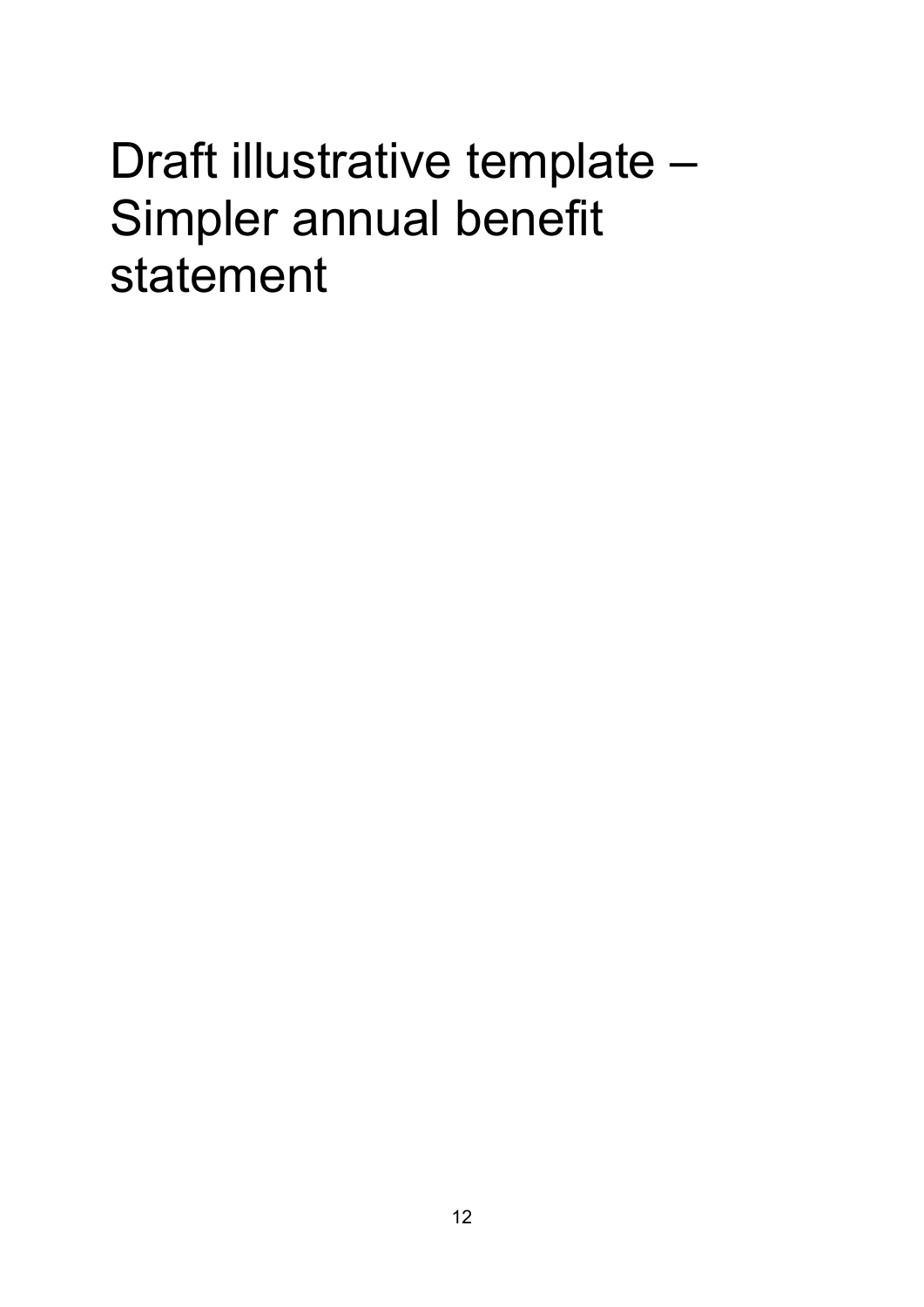## <span id="page-11-0"></span>Draft illustrative template – Simpler annual benefit statement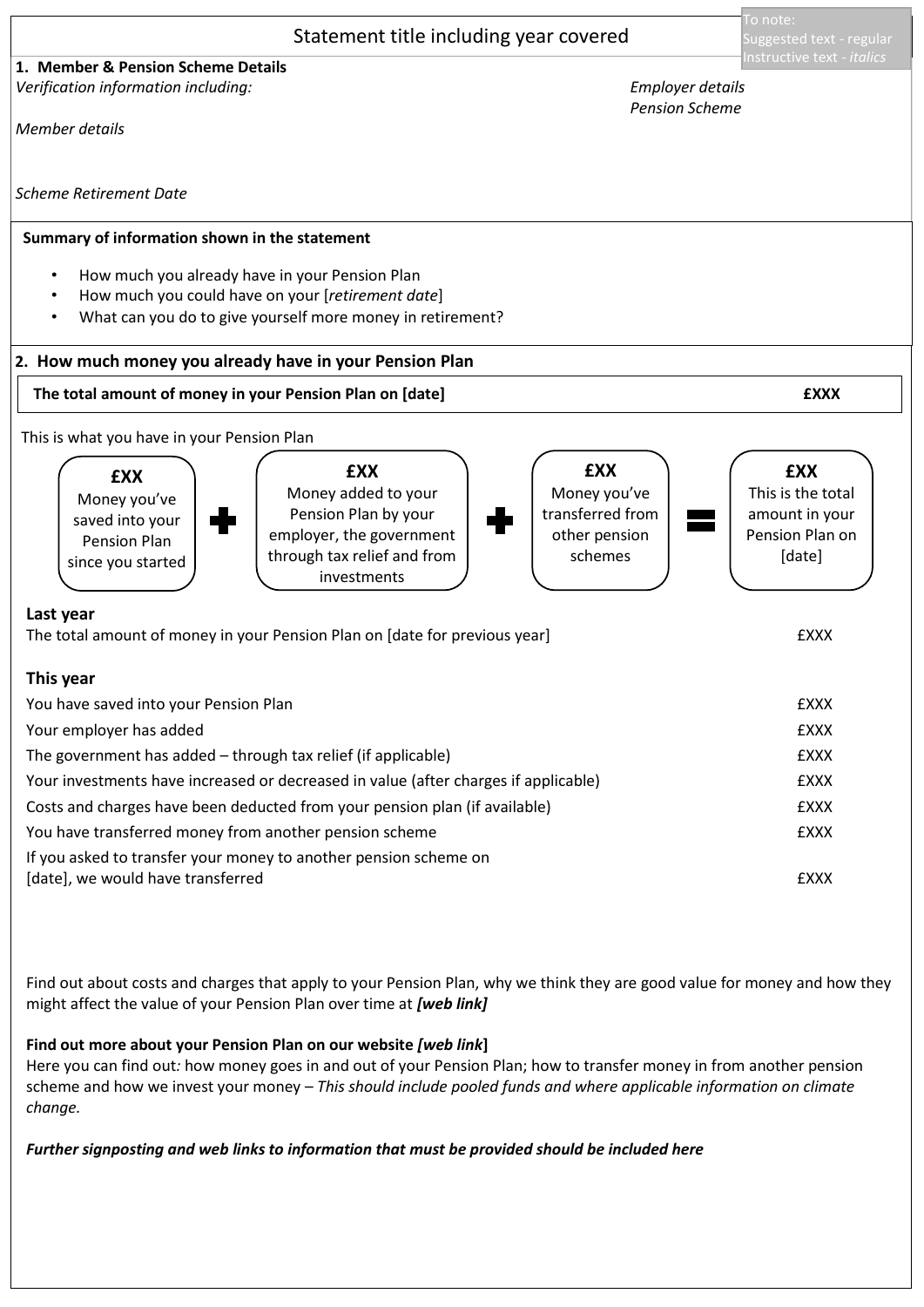|                                                                                                                                                                                                                                                     |                                                                                                                                     |                                                                               | Го note:                                                                       |  |
|-----------------------------------------------------------------------------------------------------------------------------------------------------------------------------------------------------------------------------------------------------|-------------------------------------------------------------------------------------------------------------------------------------|-------------------------------------------------------------------------------|--------------------------------------------------------------------------------|--|
| Statement title including year covered                                                                                                                                                                                                              |                                                                                                                                     |                                                                               | Suggested text - regular                                                       |  |
| 1. Member & Pension Scheme Details<br>Verification information including:<br>Member details                                                                                                                                                         |                                                                                                                                     | nstructive text - italics<br><b>Employer details</b><br><b>Pension Scheme</b> |                                                                                |  |
| <b>Scheme Retirement Date</b>                                                                                                                                                                                                                       |                                                                                                                                     |                                                                               |                                                                                |  |
| Summary of information shown in the statement                                                                                                                                                                                                       |                                                                                                                                     |                                                                               |                                                                                |  |
| How much you already have in your Pension Plan<br>٠<br>How much you could have on your [retirement date]<br>٠<br>What can you do to give yourself more money in retirement?<br>$\bullet$<br>2. How much money you already have in your Pension Plan |                                                                                                                                     |                                                                               |                                                                                |  |
| The total amount of money in your Pension Plan on [date]                                                                                                                                                                                            |                                                                                                                                     |                                                                               | <b>£XXX</b>                                                                    |  |
| This is what you have in your Pension Plan<br><b>£XX</b><br>Money you've<br>saved into your<br><b>Pension Plan</b><br>since you started                                                                                                             | <b>£XX</b><br>Money added to your<br>Pension Plan by your<br>employer, the government<br>through tax relief and from<br>investments | <b>£XX</b><br>Money you've<br>transferred from<br>other pension<br>schemes    | <b>£XX</b><br>This is the total<br>amount in your<br>Pension Plan on<br>[date] |  |
| Last year<br><b>£XXX</b><br>The total amount of money in your Pension Plan on [date for previous year]                                                                                                                                              |                                                                                                                                     |                                                                               |                                                                                |  |
| This year                                                                                                                                                                                                                                           |                                                                                                                                     |                                                                               |                                                                                |  |
| You have saved into your Pension Plan                                                                                                                                                                                                               |                                                                                                                                     |                                                                               | <b>£XXX</b>                                                                    |  |
| Your employer has added                                                                                                                                                                                                                             |                                                                                                                                     |                                                                               | <b>EXXX</b>                                                                    |  |
| The government has added - through tax relief (if applicable)                                                                                                                                                                                       |                                                                                                                                     |                                                                               | <b>EXXX</b>                                                                    |  |
| Your investments have increased or decreased in value (after charges if applicable)                                                                                                                                                                 |                                                                                                                                     |                                                                               | <b>EXXX</b>                                                                    |  |
| Costs and charges have been deducted from your pension plan (if available)                                                                                                                                                                          |                                                                                                                                     |                                                                               | <b>EXXX</b>                                                                    |  |
| You have transferred money from another pension scheme<br><b>EXXX</b>                                                                                                                                                                               |                                                                                                                                     |                                                                               |                                                                                |  |
| If you asked to transfer your money to another pension scheme on<br>[date], we would have transferred<br><b>EXXX</b>                                                                                                                                |                                                                                                                                     |                                                                               |                                                                                |  |

Find out about costs and charges that apply to your Pension Plan, why we think they are good value for money and how they might affect the value of your Pension Plan over time at *[web link]*

#### **Find out more about your Pension Plan on our website** *[web link***]**

Here you can find out*:* how money goes in and out of your Pension Plan; how to transfer money in from another pension scheme and how we invest your money – *This should include pooled funds and where applicable information on climate change.*

*Further signposting and web links to information that must be provided should be included here*